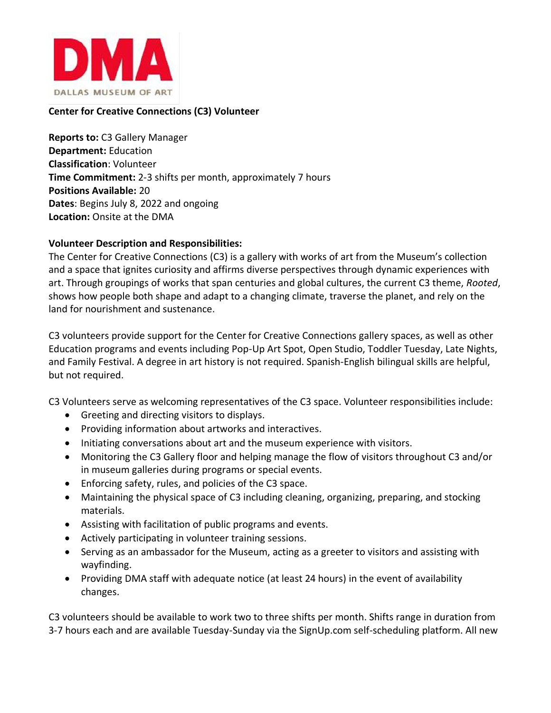

## **Center for Creative Connections (C3) Volunteer**

**Reports to:** C3 Gallery Manager **Department:** Education **Classification**: Volunteer **Time Commitment:** 2-3 shifts per month, approximately 7 hours **Positions Available:** 20 **Dates**: Begins July 8, 2022 and ongoing **Location:** Onsite at the DMA

### **Volunteer Description and Responsibilities:**

The Center for Creative Connections (C3) is a gallery with works of art from the Museum's collection and a space that ignites curiosity and affirms diverse perspectives through dynamic experiences with art. Through groupings of works that span centuries and global cultures, the current C3 theme, *Rooted*, shows how people both shape and adapt to a changing climate, traverse the planet, and rely on the land for nourishment and sustenance.

C3 volunteers provide support for the Center for Creative Connections gallery spaces, as well as other Education programs and events including Pop-Up Art Spot, Open Studio, Toddler Tuesday, Late Nights, and Family Festival. A degree in art history is not required. Spanish-English bilingual skills are helpful, but not required.

C3 Volunteers serve as welcoming representatives of the C3 space. Volunteer responsibilities include:

- Greeting and directing visitors to displays.
- Providing information about artworks and interactives.
- Initiating conversations about art and the museum experience with visitors.
- Monitoring the C3 Gallery floor and helping manage the flow of visitors throughout C3 and/or in museum galleries during programs or special events.
- Enforcing safety, rules, and policies of the C3 space.
- Maintaining the physical space of C3 including cleaning, organizing, preparing, and stocking materials.
- Assisting with facilitation of public programs and events.
- Actively participating in volunteer training sessions.
- Serving as an ambassador for the Museum, acting as a greeter to visitors and assisting with wayfinding.
- Providing DMA staff with adequate notice (at least 24 hours) in the event of availability changes.

C3 volunteers should be available to work two to three shifts per month. Shifts range in duration from 3-7 hours each and are available Tuesday-Sunday via the SignUp.com self-scheduling platform. All new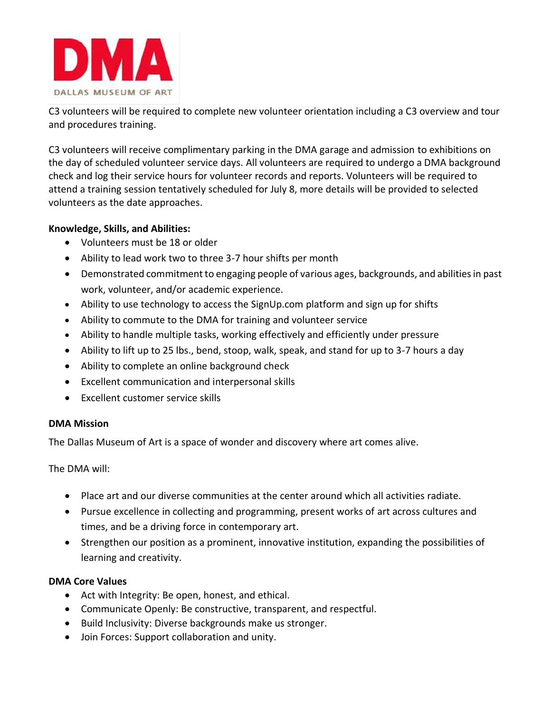

C3 volunteers will be required to complete new volunteer orientation including a C3 overview and tour and procedures training.

C3 volunteers will receive complimentary parking in the DMA garage and admission to exhibitions on the day of scheduled volunteer service days. All volunteers are required to undergo a DMA background check and log their service hours for volunteer records and reports. Volunteers will be required to attend a training session tentatively scheduled for July 8, more details will be provided to selected volunteers as the date approaches.

### **Knowledge, Skills, and Abilities:**

- Volunteers must be 18 or older
- Ability to lead work two to three 3-7 hour shifts per month
- Demonstrated commitment to engaging people of various ages, backgrounds, and abilities in past work, volunteer, and/or academic experience.
- Ability to use technology to access the SignUp.com platform and sign up for shifts
- Ability to commute to the DMA for training and volunteer service
- Ability to handle multiple tasks, working effectively and efficiently under pressure
- Ability to lift up to 25 lbs., bend, stoop, walk, speak, and stand for up to 3-7 hours a day
- Ability to complete an online background check
- Excellent communication and interpersonal skills
- Excellent customer service skills

# **DMA Mission**

The Dallas Museum of Art is a space of wonder and discovery where art comes alive.

The DMA will:

- Place art and our diverse communities at the center around which all activities radiate.
- Pursue excellence in collecting and programming, present works of art across cultures and times, and be a driving force in contemporary art.
- Strengthen our position as a prominent, innovative institution, expanding the possibilities of learning and creativity.

### **DMA Core Values**

- Act with Integrity: Be open, honest, and ethical.
- Communicate Openly: Be constructive, transparent, and respectful.
- Build Inclusivity: Diverse backgrounds make us stronger.
- Join Forces: Support collaboration and unity.